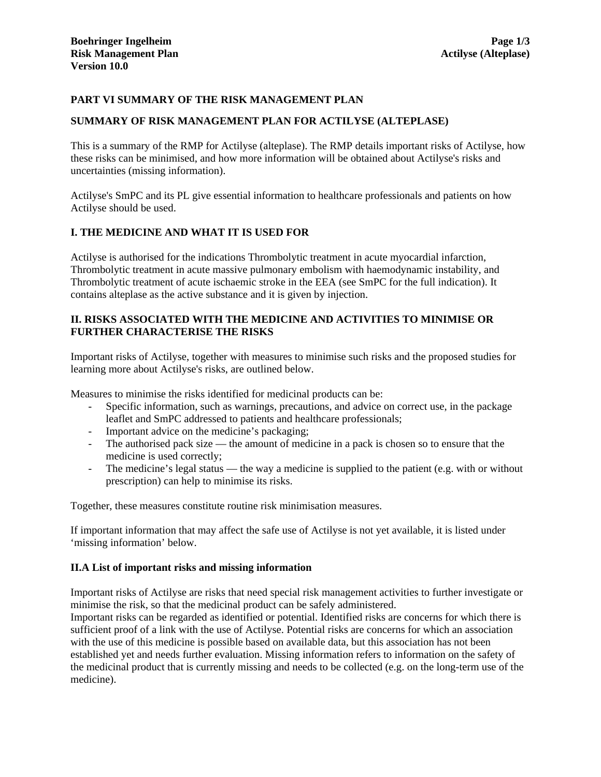## **PART VI SUMMARY OF THE RISK MANAGEMENT PLAN**

### **SUMMARY OF RISK MANAGEMENT PLAN FOR ACTILYSE (ALTEPLASE)**

This is a summary of the RMP for Actilyse (alteplase). The RMP details important risks of Actilyse, how these risks can be minimised, and how more information will be obtained about Actilyse's risks and uncertainties (missing information).

Actilyse's SmPC and its PL give essential information to healthcare professionals and patients on how Actilyse should be used.

## **I. THE MEDICINE AND WHAT IT IS USED FOR**

Actilyse is authorised for the indications Thrombolytic treatment in acute myocardial infarction, Thrombolytic treatment in acute massive pulmonary embolism with haemodynamic instability, and Thrombolytic treatment of acute ischaemic stroke in the EEA (see SmPC for the full indication). It contains alteplase as the active substance and it is given by injection.

## **II. RISKS ASSOCIATED WITH THE MEDICINE AND ACTIVITIES TO MINIMISE OR FURTHER CHARACTERISE THE RISKS**

Important risks of Actilyse, together with measures to minimise such risks and the proposed studies for learning more about Actilyse's risks, are outlined below.

Measures to minimise the risks identified for medicinal products can be:

- Specific information, such as warnings, precautions, and advice on correct use, in the package leaflet and SmPC addressed to patients and healthcare professionals;
- Important advice on the medicine's packaging;
- The authorised pack size the amount of medicine in a pack is chosen so to ensure that the medicine is used correctly;
- The medicine's legal status the way a medicine is supplied to the patient (e.g. with or without prescription) can help to minimise its risks.

Together, these measures constitute routine risk minimisation measures.

If important information that may affect the safe use of Actilyse is not yet available, it is listed under 'missing information' below.

## **II.A List of important risks and missing information**

Important risks of Actilyse are risks that need special risk management activities to further investigate or minimise the risk, so that the medicinal product can be safely administered.

Important risks can be regarded as identified or potential. Identified risks are concerns for which there is sufficient proof of a link with the use of Actilyse. Potential risks are concerns for which an association with the use of this medicine is possible based on available data, but this association has not been established yet and needs further evaluation. Missing information refers to information on the safety of the medicinal product that is currently missing and needs to be collected (e.g. on the long-term use of the medicine).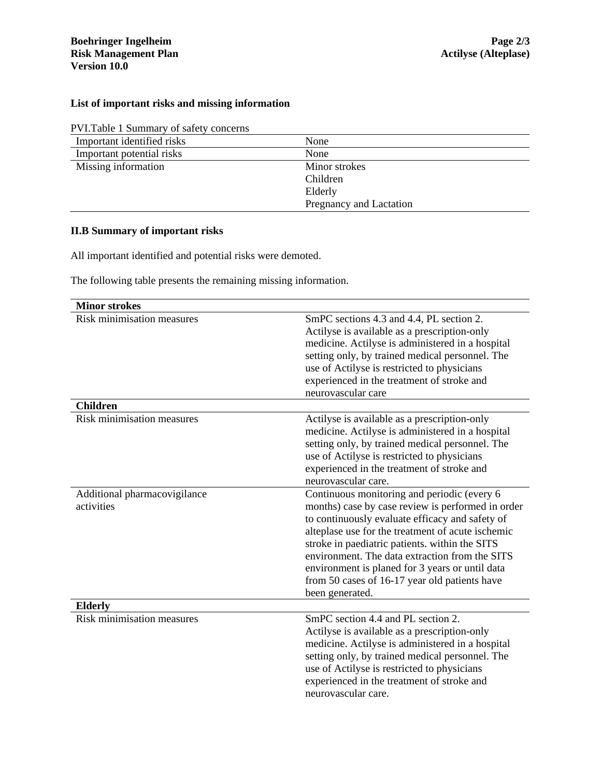# **List of important risks and missing information**

| PVI. Table 1 Summary of safety concerns |  |
|-----------------------------------------|--|
| Important identified ricks              |  |

| Important identified risks | None                    |
|----------------------------|-------------------------|
| Important potential risks  | None                    |
| Missing information        | Minor strokes           |
|                            | Children                |
|                            | Elderly                 |
|                            | Pregnancy and Lactation |

# **II.B Summary of important risks**

All important identified and potential risks were demoted.

The following table presents the remaining missing information.

| <b>Minor strokes</b>                          |                                                                                                                                                                                                                                                                                                                                                                                                                                     |
|-----------------------------------------------|-------------------------------------------------------------------------------------------------------------------------------------------------------------------------------------------------------------------------------------------------------------------------------------------------------------------------------------------------------------------------------------------------------------------------------------|
| Risk minimisation measures<br><b>Children</b> | SmPC sections 4.3 and 4.4, PL section 2.<br>Actilyse is available as a prescription-only<br>medicine. Actilyse is administered in a hospital<br>setting only, by trained medical personnel. The<br>use of Actilyse is restricted to physicians<br>experienced in the treatment of stroke and<br>neurovascular care                                                                                                                  |
| Risk minimisation measures                    |                                                                                                                                                                                                                                                                                                                                                                                                                                     |
|                                               | Actilyse is available as a prescription-only<br>medicine. Actilyse is administered in a hospital<br>setting only, by trained medical personnel. The<br>use of Actilyse is restricted to physicians<br>experienced in the treatment of stroke and<br>neurovascular care.                                                                                                                                                             |
| Additional pharmacovigilance<br>activities    | Continuous monitoring and periodic (every 6<br>months) case by case review is performed in order<br>to continuously evaluate efficacy and safety of<br>alteplase use for the treatment of acute ischemic<br>stroke in paediatric patients. within the SITS<br>environment. The data extraction from the SITS<br>environment is planed for 3 years or until data<br>from 50 cases of 16-17 year old patients have<br>been generated. |
| <b>Elderly</b>                                |                                                                                                                                                                                                                                                                                                                                                                                                                                     |
| <b>Risk minimisation measures</b>             | SmPC section 4.4 and PL section 2.<br>Actilyse is available as a prescription-only<br>medicine. Actilyse is administered in a hospital<br>setting only, by trained medical personnel. The<br>use of Actilyse is restricted to physicians<br>experienced in the treatment of stroke and<br>neurovascular care.                                                                                                                       |